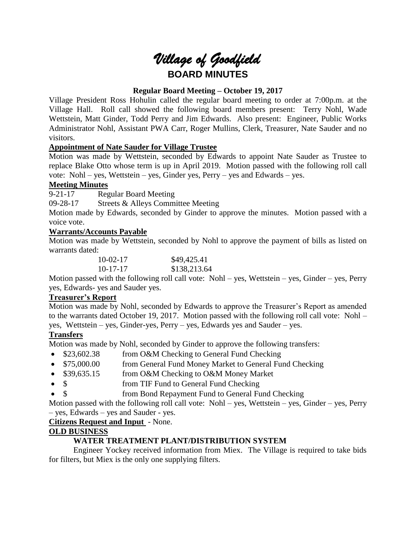

# **Regular Board Meeting – October 19, 2017**

Village President Ross Hohulin called the regular board meeting to order at 7:00p.m. at the Village Hall. Roll call showed the following board members present: Terry Nohl, Wade Wettstein, Matt Ginder, Todd Perry and Jim Edwards. Also present: Engineer, Public Works Administrator Nohl, Assistant PWA Carr, Roger Mullins, Clerk, Treasurer, Nate Sauder and no visitors.

# **Appointment of Nate Sauder for Village Trustee**

Motion was made by Wettstein, seconded by Edwards to appoint Nate Sauder as Trustee to replace Blake Otto whose term is up in April 2019. Motion passed with the following roll call vote: Nohl – yes, Wettstein – yes, Ginder yes, Perry – yes and Edwards – yes.

## **Meeting Minutes**

9-21-17 Regular Board Meeting

09-28-17 Streets & Alleys Committee Meeting

Motion made by Edwards, seconded by Ginder to approve the minutes. Motion passed with a voice vote.

## **Warrants/Accounts Payable**

Motion was made by Wettstein, seconded by Nohl to approve the payment of bills as listed on warrants dated:

| $10-02-17$ | \$49,425.41  |
|------------|--------------|
| $10-17-17$ | \$138,213.64 |

Motion passed with the following roll call vote: Nohl – yes, Wettstein – yes, Ginder – yes, Perry yes, Edwards- yes and Sauder yes.

## **Treasurer's Report**

Motion was made by Nohl, seconded by Edwards to approve the Treasurer's Report as amended to the warrants dated October 19, 2017. Motion passed with the following roll call vote: Nohl – yes, Wettstein – yes, Ginder-yes, Perry – yes, Edwards yes and Sauder – yes.

# **Transfers**

Motion was made by Nohl, seconded by Ginder to approve the following transfers:

- \$23,602.38 from O&M Checking to General Fund Checking
- \$75,000.00 from General Fund Money Market to General Fund Checking
- \$39,635.15 from O&M Checking to O&M Money Market
- \$ from TIF Fund to General Fund Checking
- \$ from Bond Repayment Fund to General Fund Checking

Motion passed with the following roll call vote: Nohl – yes, Wettstein – yes, Ginder – yes, Perry – yes, Edwards – yes and Sauder - yes.

**Citizens Request and Input** - None.

# **OLD BUSINESS**

# **WATER TREATMENT PLANT/DISTRIBUTION SYSTEM**

Engineer Yockey received information from Miex. The Village is required to take bids for filters, but Miex is the only one supplying filters.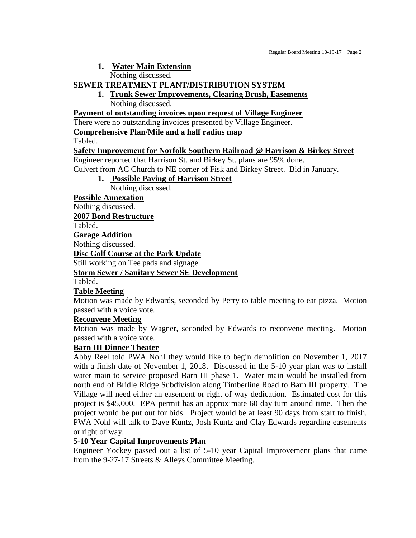#### **1. Water Main Extension**

Nothing discussed.

#### **SEWER TREATMENT PLANT/DISTRIBUTION SYSTEM**

**1. Trunk Sewer Improvements, Clearing Brush, Easements** Nothing discussed.

**Payment of outstanding invoices upon request of Village Engineer**

There were no outstanding invoices presented by Village Engineer.

**Comprehensive Plan/Mile and a half radius map**

Tabled.

#### **Safety Improvement for Norfolk Southern Railroad @ Harrison & Birkey Street**

Engineer reported that Harrison St. and Birkey St. plans are 95% done.

Culvert from AC Church to NE corner of Fisk and Birkey Street. Bid in January.

**1. Possible Paving of Harrison Street** Nothing discussed.

**Possible Annexation**

Nothing discussed.

**2007 Bond Restructure**

Tabled.

**Garage Addition**

Nothing discussed.

**Disc Golf Course at the Park Update**

Still working on Tee pads and signage.

**Storm Sewer / Sanitary Sewer SE Development**

Tabled.

## **Table Meeting**

Motion was made by Edwards, seconded by Perry to table meeting to eat pizza. Motion passed with a voice vote.

## **Reconvene Meeting**

Motion was made by Wagner, seconded by Edwards to reconvene meeting. Motion passed with a voice vote.

## **Barn III Dinner Theater**

Abby Reel told PWA Nohl they would like to begin demolition on November 1, 2017 with a finish date of November 1, 2018. Discussed in the 5-10 year plan was to install water main to service proposed Barn III phase 1. Water main would be installed from north end of Bridle Ridge Subdivision along Timberline Road to Barn III property. The Village will need either an easement or right of way dedication. Estimated cost for this project is \$45,000. EPA permit has an approximate 60 day turn around time. Then the project would be put out for bids. Project would be at least 90 days from start to finish. PWA Nohl will talk to Dave Kuntz, Josh Kuntz and Clay Edwards regarding easements or right of way.

## **5-10 Year Capital Improvements Plan**

Engineer Yockey passed out a list of 5-10 year Capital Improvement plans that came from the 9-27-17 Streets & Alleys Committee Meeting.